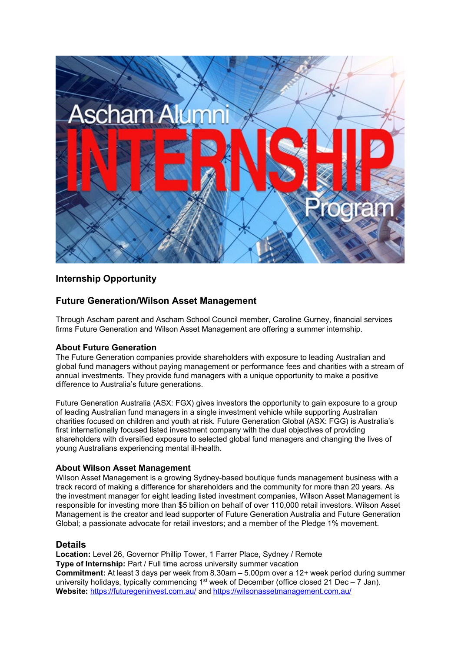

# **Internship Opportunity**

# **Future Generation/Wilson Asset Management**

Through Ascham parent and Ascham School Council member, Caroline Gurney, financial services firms Future Generation and Wilson Asset Management are offering a summer internship.

### **About Future Generation**

The Future Generation companies provide shareholders with exposure to leading Australian and global fund managers without paying management or performance fees and charities with a stream of annual investments. They provide fund managers with a unique opportunity to make a positive difference to Australia's future generations.

Future Generation Australia (ASX: FGX) gives investors the opportunity to gain exposure to a group of leading Australian fund managers in a single investment vehicle while supporting Australian charities focused on children and youth at risk. Future Generation Global (ASX: FGG) is Australia's first internationally focused listed investment company with the dual objectives of providing shareholders with diversified exposure to selected global fund managers and changing the lives of young Australians experiencing mental ill-health.

### **About Wilson Asset Management**

Wilson Asset Management is a growing Sydney-based boutique funds management business with a track record of making a difference for shareholders and the community for more than 20 years. As the investment manager for eight leading listed investment companies, Wilson Asset Management is responsible for investing more than \$5 billion on behalf of over 110,000 retail investors. Wilson Asset Management is the creator and lead supporter of Future Generation Australia and Future Generation Global; a passionate advocate for retail investors; and a member of the Pledge 1% movement.

#### **Details**

**Location:** Level 26, Governor Phillip Tower, 1 Farrer Place, Sydney / Remote **Type of Internship:** Part / Full time across university summer vacation **Commitment:** At least 3 days per week from 8.30am – 5.00pm over a 12+ week period during summer university holidays, typically commencing  $1<sup>st</sup>$  week of December (office closed 21 Dec – 7 Jan). **Website:** <https://futuregeninvest.com.au/> and<https://wilsonassetmanagement.com.au/>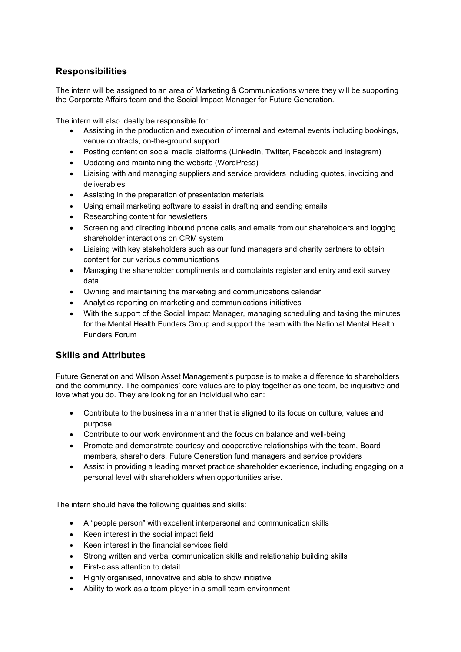# **Responsibilities**

The intern will be assigned to an area of Marketing & Communications where they will be supporting the Corporate Affairs team and the Social Impact Manager for Future Generation.

The intern will also ideally be responsible for:

- Assisting in the production and execution of internal and external events including bookings, venue contracts, on-the-ground support
- Posting content on social media platforms (LinkedIn, Twitter, Facebook and Instagram)
- Updating and maintaining the website (WordPress)
- Liaising with and managing suppliers and service providers including quotes, invoicing and deliverables
- Assisting in the preparation of presentation materials
- Using email marketing software to assist in drafting and sending emails
- Researching content for newsletters
- Screening and directing inbound phone calls and emails from our shareholders and logging shareholder interactions on CRM system
- Liaising with key stakeholders such as our fund managers and charity partners to obtain content for our various communications
- Managing the shareholder compliments and complaints register and entry and exit survey data
- Owning and maintaining the marketing and communications calendar
- Analytics reporting on marketing and communications initiatives
- With the support of the Social Impact Manager, managing scheduling and taking the minutes for the Mental Health Funders Group and support the team with the National Mental Health Funders Forum

# **Skills and Attributes**

Future Generation and Wilson Asset Management's purpose is to make a difference to shareholders and the community. The companies' core values are to play together as one team, be inquisitive and love what you do. They are looking for an individual who can:

- Contribute to the business in a manner that is aligned to its focus on culture, values and purpose
- Contribute to our work environment and the focus on balance and well-being
- Promote and demonstrate courtesy and cooperative relationships with the team, Board members, shareholders, Future Generation fund managers and service providers
- Assist in providing a leading market practice shareholder experience, including engaging on a personal level with shareholders when opportunities arise.

The intern should have the following qualities and skills:

- A "people person" with excellent interpersonal and communication skills
- Keen interest in the social impact field
- Keen interest in the financial services field
- Strong written and verbal communication skills and relationship building skills
- First-class attention to detail
- Highly organised, innovative and able to show initiative
- Ability to work as a team player in a small team environment